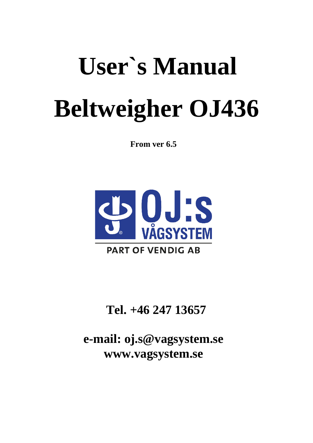# **User`s Manual Beltweigher OJ436**

**From ver 6.5**



# **Tel. +46 247 13657**

**e-mail: [o](mailto:oj.s@vagsystem.se)[j.s@vagsystem.se](mailto:j.s@vagsystem.se) [www.vagsystem.se](http://www.vagsystem.se/)**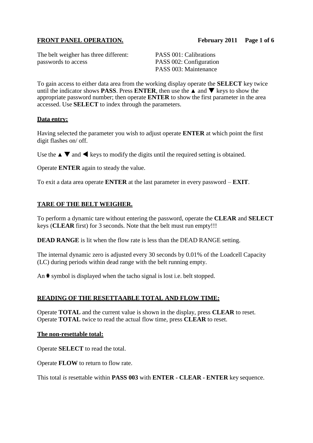# **FRONT PANEL OPERATION. February 2011 Page 1 of 6**

The belt weigher has three different: PASS 001: Calibrations passwords to access PASS 002: Configuration

PASS 003: Maintenance

To gain access to either data area from the working display operate the **SELECT** key twice until the indicator shows **PASS**. Press **ENTER**, then use the  $\triangle$  and  $\nabla$  keys to show the appropriate password number; then operate **ENTER** to show the first parameter in the area accessed. Use **SELECT** to index through the parameters.

# **Data entry:**

Having selected the parameter you wish to adjust operate **ENTER** at which point the first digit flashes on/ off.

Use the  $\blacktriangle \blacktriangledown$  and  $\blacktriangleleft$  keys to modify the digits until the required setting is obtained.

Operate **ENTER** again to steady the value.

To exit a data area operate **ENTER** at the last parameter in every password – **EXIT**.

# **TARE OF THE BELT WEIGHER.**

To perform a dynamic tare without entering the password, operate the **CLEAR** and **SELECT** keys (**CLEAR** first) for 3 seconds. Note that the belt must run empty!!!

**DEAD RANGE** is lit when the flow rate is less than the DEAD RANGE setting.

The internal dynamic zero is adjusted every 30 seconds by 0.01% of the Loadcell Capacity (LC) during periods within dead range with the belt running empty.

An  $\ast$  symbol is displayed when the tacho signal is lost i.e. belt stopped.

# **READING OF THE RESETTAABLE TOTAL AND FLOW TIME:**

Operate **TOTAL** and the current value is shown in the display, press **CLEAR** to reset. Operate **TOTAL** twice to read the actual flow time, press **CLEAR** to reset.

# **The non-resettable total:**

Operate **SELECT** to read the total.

Operate **FLOW** to return to flow rate.

This total *is* resettable within **PASS 003** with **ENTER - CLEAR - ENTER** key sequence.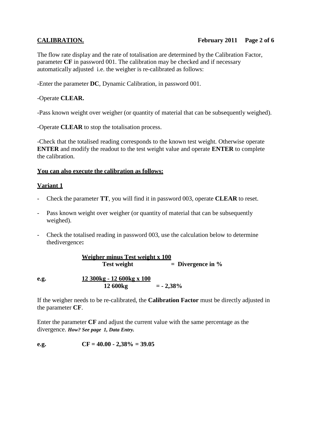# **CALIBRATION. February 2011 Page 2 of 6**

The flow rate display and the rate of totalisation are determined by the Calibration Factor, parameter **CF** in password 001. The calibration may be checked and if necessary automatically adjusted i.e. the weigher is re-calibrated as follows:

-Enter the parameter **DC**, Dynamic Calibration, in password 001.

# -Operate **CLEAR.**

-Pass known weight over weigher (or quantity of material that can be subsequently weighed).

-Operate **CLEAR** to stop the totalisation process.

-Check that the totalised reading corresponds to the known test weight. Otherwise operate **ENTER** and modify the readout to the test weight value and operate **ENTER** to complete the calibration.

# **You can also execute the calibration as follows:**

# **Variant 1**

- Check the parameter **TT**, you will find it in password 003, operate **CLEAR** to reset.
- Pass known weight over weigher (or quantity of material that can be subsequently weighed).
- Check the totalised reading in password 003, use the calculation below to determine thedivergence**:**

**Weigher minus Test weight x 100 Test weight = Divergence in %**

**e.g. 12 300kg - 12 600kg x 100 12 600kg**  $= -2,38\%$ 

If the weigher needs to be re-calibrated, the **Calibration Factor** must be directly adjusted in the parameter **CF**.

Enter the parameter **CF** and adjust the current value with the same percentage as the divergence. *How? See page 1, Data Entry.*

**e.g. CF = 40.00 - 2,38% = 39.05**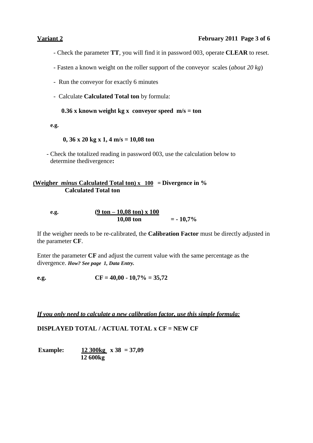# **Variant 2 February 2011 Page 3 of 6**

- Check the parameter **TT**, you will find it in password 003, operate **CLEAR** to reset.
- Fasten a known weight on the roller support of the conveyor scales (*about 20 kg*)
- Run the conveyor for exactly 6 minutes
- Calculate **Calculated Total ton** by formula:

# **0.36 x known weight kg x conveyor speed m/s = ton**

**e.g.**

# **0, 36 x 20 kg x 1, 4 m/s = 10,08 ton**

- Check the totalized reading in password 003, use the calculation below to determine thedivergence**:**

# **(Weigher** *minus* **Calculated Total ton) x 100 = Divergence in % Calculated Total ton**

| e.g. | $(9 \text{ ton} - 10,08 \text{ ton}) \times 100$ |            |
|------|--------------------------------------------------|------------|
|      | 10,08 ton                                        | $= -10,7%$ |

If the weigher needs to be re-calibrated, the **Calibration Factor** must be directly adjusted in the parameter **CF**.

Enter the parameter **CF** and adjust the current value with the same percentage as the divergence. *How? See page 1, Data Entry.*

**e.g. CF** =  $40,00 - 10,7% = 35,72$ 

*If you only need to calculate a new calibration factor, use this simple formula:*

**DISPLAYED TOTAL / ACTUAL TOTAL x CF = NEW CF**

 **Example: 12 300kg x 38 = 37,09 12 600kg**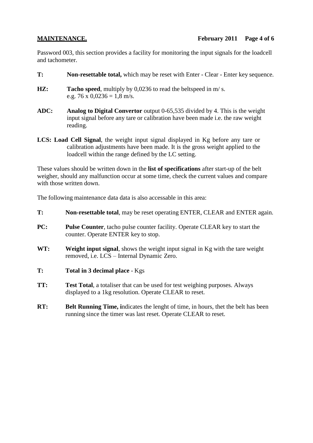Password 003, this section provides a facility for monitoring the input signals for the loadcell and tachometer.

- **T: Non-resettable total,** which may be reset with Enter Clear Enter key sequence.
- **HZ: Tacho speed**, multiply by 0,0236 to read the beltspeed in m/ s. e.g. 76 x  $0,0236 = 1,8$  m/s.
- **ADC: Analog to Digital Convertor** output 0-65,535 divided by 4. This is the weight input signal before any tare or calibration have been made i.e. the raw weight reading.
- **LCS: Load Cell Signal**, the weight input signal displayed in Kg before any tare or calibration adjustments have been made. It is the gross weight applied to the loadcell within the range defined by the LC setting.

These values should be written down in the **list of specifications** after start-up of the belt weigher, should any malfunction occur at some time, check the current values and compare with those written down.

The following maintenance data data is also accessable in this area:

- **T: Non-resettable total**, may be reset operating ENTER, CLEAR and ENTER again.
- **PC:** Pulse Counter, tacho pulse counter facility. Operate CLEAR key to start the counter. Operate ENTER key to stop.
- **WT: Weight input signal**, shows the weight input signal in Kg with the tare weight removed, i.e. LCS – Internal Dynamic Zero.
- **T: Total in 3 decimal place** Kgs
- **TT: Test Total**, a totaliser that can be used for test weighing purposes. Always displayed to a 1kg resolution. Operate CLEAR to reset.
- **RT: Belt Running Time, indicates the lenght of time, in hours, thet the belt has been** running since the timer was last reset. Operate CLEAR to reset.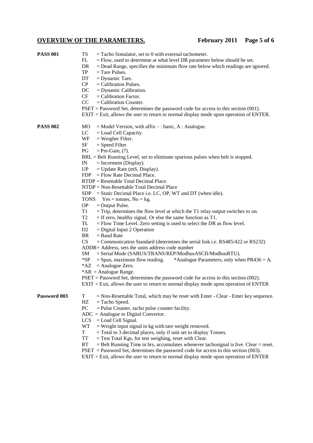# **OVERVIEW OF THE PARAMETERS. February 2011 Page 5 of 6**

| <b>PASS 001</b> | TS<br>$=$ Tacho Simulator, set to 0 with external tachometer.<br>FL<br>$=$ Flow, used to determine at what level DR parameter below should be set.<br>DR<br>$=$ Dead Range, specifies the minimum flow rate below which readings are ignored.<br>TP<br>$=$ Tare Pulses.<br>DT<br>$=$ Dynamic Tare.<br>CP<br>$=$ Calibration Pulses.<br>DC<br>$=$ Dynamic Calibration.<br>CF<br>$=$ Calibration Factor.<br>CC<br>$=$ Calibration Counter.<br>$PSET =$ Password Set, determines the password code for access to this section (001).                                                                                                                                                                                                                                                                                                                                                                                                                                                                                                                                                                                                                                                                                                                                                                                                                                                                                                                                                                                                  |
|-----------------|------------------------------------------------------------------------------------------------------------------------------------------------------------------------------------------------------------------------------------------------------------------------------------------------------------------------------------------------------------------------------------------------------------------------------------------------------------------------------------------------------------------------------------------------------------------------------------------------------------------------------------------------------------------------------------------------------------------------------------------------------------------------------------------------------------------------------------------------------------------------------------------------------------------------------------------------------------------------------------------------------------------------------------------------------------------------------------------------------------------------------------------------------------------------------------------------------------------------------------------------------------------------------------------------------------------------------------------------------------------------------------------------------------------------------------------------------------------------------------------------------------------------------------|
|                 | $EXIT = Exit$ , allows the user to return to normal display mode upon operation of ENTER.                                                                                                                                                                                                                                                                                                                                                                                                                                                                                                                                                                                                                                                                                                                                                                                                                                                                                                                                                                                                                                                                                                                                                                                                                                                                                                                                                                                                                                          |
| <b>PASS 002</b> | MO<br>$=$ Model Version, with affix $-$ : basic, A : Analogue.<br>LC<br>$=$ Load Cell Capacity.<br>WF<br>$=$ Weigher Filter.<br>SF<br>$=$ Speed Filter<br>PG<br>$=$ Pre-Gain, $(7)$ .<br>$BRL = Belt$ Running Level, set to eliminate spurious pulses when belt is stopped.<br>$=$ Increment (Display).<br>IN<br>UP<br>$=$ Update Rate (mS, Display).<br>$=$ Flow Rate Decimal Place.<br>FDP<br>RTDP = Resettable Total Decimal Place.<br>NTDP = Non-Resettable Total Decimal Place<br>$SDP = Static Decimal Place i.e. LC, OP, WT and DT (when idle).$<br>TONS $Yes = tonnes, No = kg.$<br><b>OP</b><br>$=$ Output Pulse.<br>T1<br>$=$ Trip, determines the flow level at which the T1 relay output switches to on.<br>T <sub>2</sub><br>$=$ If zero, healthy signal. Or else the same function as T1.<br>TL<br>$=$ Flow Time Level. Zero setting is used to select the DR as flow level.<br>D <sub>2</sub><br>$=$ Digital Input 2 Operation<br><b>BR</b><br>$=$ Baud Rate<br>CS<br>$=$ Communication Standard (determines the serial link i.e. RS485/422 or RS232)<br>ADDR= Address, sets the units address code number<br>SM<br>= Serial Mode (SABUS/TRANS/REP/ModbusASCII/ModbusRTU).<br>$*SP$<br>*Analogue Parameters, only when $PR436 = A$ .<br>$=$ Span, maximum flow reading.<br>$*AZ = Analogue Zero.$<br>* $AR =$ Analogue Range.<br>$PSET =$ Password Set, determines the password code for access to this section (002).<br>$EXIT = Exist$ , allows the user to return to normal display mode upon operation of ENTER |
| Password 003    | T<br>$=$ Non-Resettable Total, which may be reset with Enter - Clear - Enter key sequence.<br>HZ<br>$=$ Tacho Speed.<br>PC<br>$=$ Pulse Counter, tacho pulse counter facility.<br>$ADC = Analogue$ to Digital Convertor.<br><b>LCS</b><br>$=$ Load Cell Signal.<br><b>WT</b><br>$=$ Weight input signal in kg with tare weight removed.<br>T<br>$=$ Total to 3 decimal places, only if unit set to display Tonnes.<br><b>TT</b><br>$=$ Test Total Kgs, for test weighing, reset with Clear.<br>RT<br>$=$ Belt Running Time in hrs, accumulates whenever tachosignal is live. Clear $=$ reset.<br>$PSET$ = Password Set, determines the password code for access to this section (003).<br>$EXIT = Exist$ , allows the user to return to normal display mode upon operation of ENTER                                                                                                                                                                                                                                                                                                                                                                                                                                                                                                                                                                                                                                                                                                                                                |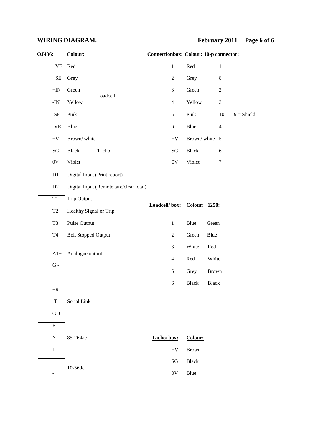| OJ436:                     | Colour:                                 | <b>Connectionbox: Colour: 10-p connector:</b> |                             |                              |              |                  |                     |
|----------------------------|-----------------------------------------|-----------------------------------------------|-----------------------------|------------------------------|--------------|------------------|---------------------|
| $+{\rm VE}$                | Red                                     |                                               | $\mathbf 1$                 | Red                          |              | $\mathbf{1}$     |                     |
| $+{\sf SE}$                | Grey                                    |                                               | $\boldsymbol{2}$            | Grey                         |              | 8                |                     |
| $+{\rm IN}$                | Green<br>Loadcell                       |                                               | 3                           | Green                        |              | $\boldsymbol{2}$ |                     |
| -IN                        | Yellow                                  |                                               | $\overline{4}$              | Yellow                       |              | 3                |                     |
| $-SE$                      | Pink                                    |                                               | $\sqrt{5}$                  | Pink                         |              | 10               | $9 = \text{Shield}$ |
| $\mbox{-}\mathrm{VE}$      | Blue                                    |                                               | $6\,$                       | Blue                         |              | $\overline{4}$   |                     |
| $+V$                       | Brown/white                             |                                               | $+V$                        | Brown/white 5                |              |                  |                     |
| $\mathbf{S}\mathbf{G}$     | <b>Black</b><br>Tacho                   |                                               | $\mathbf{S}\mathbf{G}$      | Black                        |              | 6                |                     |
| $0\mathrm{V}$              | Violet                                  |                                               | $0\mathrm{V}$               | Violet                       |              | $\tau$           |                     |
| D1                         | Digital Input (Print report)            |                                               |                             |                              |              |                  |                     |
| D <sub>2</sub>             | Digital Input (Remote tare/clear total) |                                               |                             |                              |              |                  |                     |
| $\mathsf{T}1$              | <b>Trip Output</b>                      |                                               | Loadcell/box: Colour: 1250: |                              |              |                  |                     |
| $\operatorname{T2}$        | Healthy Signal or Trip                  |                                               |                             |                              |              |                  |                     |
| T <sub>3</sub>             | Pulse Output                            |                                               | $\mathbf{1}$                | Blue                         | Green        |                  |                     |
| T4                         | <b>Belt Stopped Output</b>              |                                               | $\boldsymbol{2}$            | Green                        | Blue         |                  |                     |
|                            |                                         |                                               | 3                           | White                        | Red          |                  |                     |
| $A1+$<br>${\bf G}$ -       | Analogue output                         |                                               | $\overline{4}$              | Red                          | White        |                  |                     |
|                            |                                         |                                               | 5                           | Grey                         | <b>Brown</b> |                  |                     |
|                            |                                         |                                               | 6                           | Black                        | <b>Black</b> |                  |                     |
| $+{\bf R}$<br>$\mathbf{T}$ | Serial Link                             |                                               |                             |                              |              |                  |                     |
|                            |                                         |                                               |                             |                              |              |                  |                     |
| GD<br>$\overline{E}$       |                                         |                                               |                             |                              |              |                  |                     |
|                            |                                         |                                               |                             |                              |              |                  |                     |
| $\mathbf N$                | 85-264ac                                | Tacho/box:                                    | $+\mathbf{V}$               | Colour:                      |              |                  |                     |
| L<br>$\boldsymbol{+}$      |                                         |                                               | SG                          | <b>Brown</b><br><b>Black</b> |              |                  |                     |
|                            | 10-36dc                                 |                                               | 0V                          | Blue                         |              |                  |                     |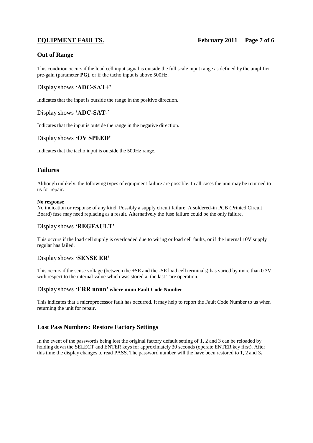# **Out of Range**

This condition occurs if the load cell input signal is outside the full scale input range as defined by the amplifier pre-gain (parameter **PG**), or if the tacho input is above 500Hz.

# Display shows **'ADC-SAT+'**

Indicates that the input is outside the range in the positive direction.

# Display shows **'ADC-SAT-'**

Indicates that the input is outside the range in the negative direction.

### Display shows **'OV SPEED'**

Indicates that the tacho input is outside the 500Hz range.

# **Failures**

Although unlikely, the following types of equipment failure are possible. In all cases the unit may be returned to us for repair.

### **No response**

No indication or response of any kind. Possibly a supply circuit failure. A soldered-in PCB (Printed Circuit Board) fuse may need replacing as a result. Alternatively the fuse failure could be the only failure.

# Display shows **'REGFAULT'**

This occurs if the load cell supply is overloaded due to wiring or load cell faults, or if the internal 10V supply regular has failed.

# Display shows **'SENSE ER'**

This occurs if the sense voltage (between the +SE and the -SE load cell terminals) has varied by more than 0.3V with respect to the internal value which was stored at the last Tare operation.

### Display shows **'ERR nnnn' where nnnn Fault Code Number**

This indicates that a microprocessor fault has occurred**.** It may help to report the Fault Code Number to us when returning the unit for repair**.**

# **Lost Pass Numbers: Restore Factory Settings**

In the event of the passwords being lost the original factory default setting of 1, 2 and 3 can be reloaded by holding down the SELECT and ENTER keys for approximately 30 seconds (operate ENTER key first). After this time the display changes to read PASS. The password number will the have been restored to 1, 2 and 3**.**